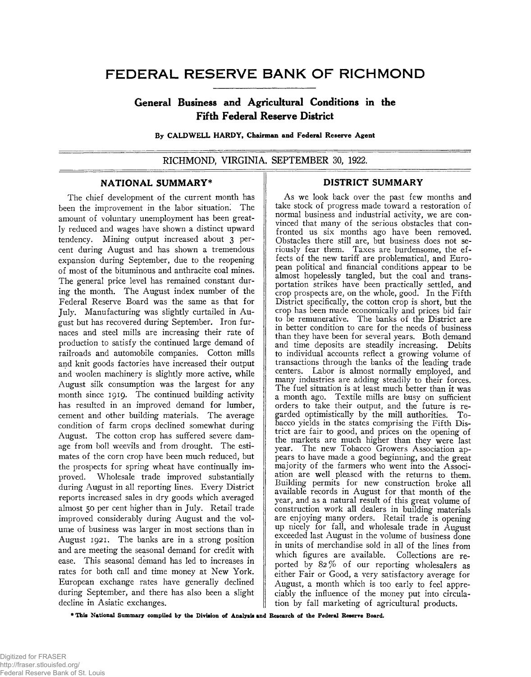# FEDERAL RESERVE BANK OF RICHMOND

# **General Business and Agricultural Conditions in the Fifth Federal Reserve District**

**By CALDW ELL HARDY, Chairman and Federal Reserve Agent**

**RICHMOND, VIRGINIA, SEPTEMBER 30, 1922.**

### **NATIONAL SUMMARY\***

The chief development of the current month has been the improvement in the labor situation. The amount of voluntary unemployment has been greatly reduced and wages have shown a distinct upward tendency. Mining output increased about 3 percent during August and has shown a tremendous expansion during September, due to the reopening of most of the bituminous and anthracite coal mines. The general price level has remained constant during the month. The August index number of the Federal Reserve Board was the same as that for July. Manufacturing was slightly curtailed in August but has recovered during September. Iron furnaces and steel mills are increasing their rate of production to satisfy the continued large demand of railroads and automobile companies. Cotton mills and knit goods factories have increased their output and woolen machinery is slightly more active, while August silk consumption was the largest for any month since 1919. The continued building activity has resulted in an improved demand for lumber, cement and other building materials. The average condition of farm crops declined somewhat during August. The cotton crop has suffered severe damage from boll weevils and from drought. The estimates of the corn crop have been much reduced, but the prospects for spring wheat have continually improved. Wholesale trade improved substantially during August in all reporting lines. Every District reports increased sales in dry goods which averaged almost 50 per cent higher than in July. Retail trade improved considerably during August and the volume of business was larger in most sections than in August 1921. The banks are in a strong position and are meeting the seasonal demand for credit with ease. This seasonal demand has led to increases in rates for both call and time money at New York. European exchange rates have generally declined during September, and there has also been a slight decline in Asiatic exchanges.

# **DISTRICT SUMMARY**

As we look back over the past few months and take stock of progress made toward a restoration of normal business and industrial activity, we are convinced that many of the serious obstacles that confronted us six months ago have been removed. Obstacles there still are, but business does not seriously fear them. Taxes are burdensome, the effects of the new tariff are problematical, and European political and financial conditions appear to be almost hopelessly tangled, but the coal and transportation strikes have been practically settled, and crop prospects are, on the whole, good. In the Fifth District specifically, the cotton crop is short, but the crop has been made economically and prices bid fair to be remunerative. The banks of the District are in better condition to care for the needs of business than they have been for several years. Both demand and time deposits are steadily increasing. Debits to individual accounts reflect a growing volume of transactions through the banks of the leading trade centers. Labor is almost normally employed, and many industries are adding steadily to their forces. The fuel situation is at least much better than it was a month ago. Textile mills are busy on sufficient orders to take their output, and the future is regarded optimistically by the mill authorities. Tobacco yields in the states comprising the Fifth District are fair to good, and prices on the opening of the markets are much higher than they were last year. The new Tobacco Growers Association appears to have made a good beginning, and the great majority of the farmers who went into the Association are well pleased with the returns to them. Building permits for new construction broke all available records in August for that month of the year, and as a natural result of this great volume of construction work all dealers in building materials are enjoying many orders. Retail trade is opening up nicely for fall, and wholesale trade in August exceeded last August in the volume of business done in units of merchandise sold in all of the lines from which figures are available. Collections are reported by 82% of our reporting wholesalers as either Fair or Good, a very satisfactory average for August, a month which is too early to feel appreciably the influence of the money put into circulation by fall marketing of agricultural products.

**\* This National Summary compiled by the Division of Analysis and Research of the Federal Reserve Board.**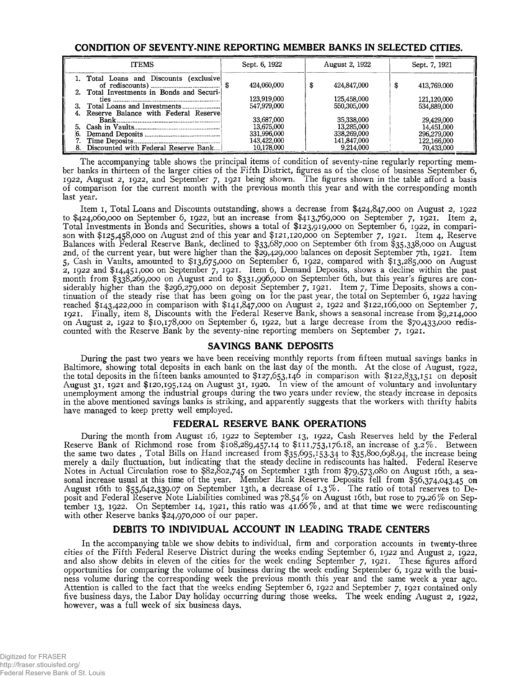## **CONDITION OF SEVENTY-NINE REPORTING MEMBER BANKS IN SELECTED CITIES.**

| <b>ITEMS</b> |                                                                                       | Sept. 6, 1922     | August 2, 1922    | Sept. 7, 1921     |
|--------------|---------------------------------------------------------------------------------------|-------------------|-------------------|-------------------|
|              | 1. Total Loans and Discounts (exclusive)<br>2. Total Investments in Bonds and Securi- | 424,060,000<br>£. | 424,847,000<br>\$ | \$<br>413,769,000 |
|              |                                                                                       | 123,919,000       | 125,458,000       | 121,120,000       |
|              |                                                                                       | 547,979,000       | 550,305,000       | 534,889,000       |
|              | Reserve Balance with Federal Reserve                                                  | 33,687,000        | 35,338,000        | 29,429,000        |
|              |                                                                                       | 13,675,000        | 13,285,000        | 14,451,000        |
|              |                                                                                       | 331,996,000       | 338,269,000       | 296,279,000       |
|              |                                                                                       | 143,422,000       | 141,847,000       | 122,166,000       |
|              | Discounted with Federal Reserve Bank                                                  | 10.178.000        | 9.214.000         | 70.433,000        |

The accompanying table shows the principal items of condition of seventy-nine regularly reporting member banks in thirteen of the larger cities of the Fifth District, figures as of the close of business September 6, 1922, August 2, 1922, and September 7, 1921 being shown. The figures shown in the table afford a basis of comparison for the current month with the previous month this year and with the corresponding month last year.

Item 1, Total Loans and Discounts outstanding, shows a decrease from \$424,847,000 on August 2, 1922 to \$424,060,000 on September 6, 1922, but an increase from \$413,769,000 on September 7, 1921. Item 2, Total Investments in Bonds and Securities, shows a total of \$123,919,000 on September 6, 1922, in comparison with \$125,458,000 on August 2nd of this year and \$121,120,000 on September 7, 1921. Item 4, Reserve Balances with Federal Reserve Bank, declined to \$33,687,000 on September 6th from \$35,338,000 on August 2nd, of the current year, but were higher than the \$29,429,000 balances on deposit September 7th, 1921. Item 5, Cash in Vaults, amounted to \$13,675,000 on September 6, 1922, compared with \$13,285,000 on August 2, 1922 and \$14,451,000 on September 7, 1921. Item 6, Demand Deposits, shows a decline within the past month from \$338,269,000 on August 2nd to \$331,996,000 on September 6th, but this year's figures are considerably higher than the \$296,279,000 on deposit September 7, 1921. Item 7, Time Deposits, shows a continuation of the steady rise that has been going on for the past year, the total on September 6, 1922 having reached \$143,422,000 in comparison with \$141,847,000 on August 2, 1922 and \$122,166,000 on September 7, 1921. Finally, item 8, Discounts with the Federal Reserve Bank, shows a seasonal increase from \$9,214,000 on August 2, 1922 to \$10,178,000 on September 6, 1922, but a large decrease from the \$70,433,000 rediscounted with the Reserve Bank by the seventy-nine reporting members on September 7, 1921.

### **SAVINGS BANK DEPOSITS**

During the past two years we have been receiving monthly reports from fifteen mutual savings banks in Baltimore, showing total deposits in each bank on the last day of the month. At the close of August, 1922, the total deposits in the fifteen banks amounted to \$127,653,146 in comparison with \$122,833,151 on deposit August 31, 1921 and \$120,195,124 on August 31, 1920. In view of the amount of voluntary and involuntary unemployment among the industrial groups during the two years under review, the steady increase in deposits in the above mentioned savings banks is striking, and apparently suggests that the workers with thrifty habits have managed to keep pretty well employed.

# **FEDERAL RESERVE BANK OPERATIONS**

During the month from August 16, 1922 to September 13, 1922, Cash Reserves held by the Federal Reserve Bank of Richmond rose from  $$108,289,457.14$  to  $$111,753,176.18$ , an increase of  $3.2\%$ . Between the same two dates , Total Bills on Hand increased from \$35,695,153.34 to \$35,800,698.94, the increase being merely a daily fluctuation, but indicating that the steady decline in rediscounts has halted. Federal Reserve Notes in Actual Circulation rose to \$82,802,745 on September 13th from \$79,573,080 on August 16th, a seasonal increase usual at this time of the year. Member Bank Reserve Deposits fell from \$56,374,043.45 on August 16th to \$55,642,339.07 on September 13th, a decrease of 1.3% . The ratio of total reserves to Deposit and Federal Reserve Note Liabilities combined was 78.54% on August 16th, but rose to 79.26% on September 13, 1922. On September 14, 1921, this ratio was 41.66% , and at that time we were rediscounting with other Reserve banks \$24,970,000 of our paper.

# **DEBITS TO INDIVIDUAL ACCOUNT IN LEADING TRADE CENTERS**

In the accompanying table we show debits to individual, firm and corporation accounts in twenty-three cities of the Fifth Federal Reserve District during the weeks ending September 6, 1922 and August 2, 1922, and also show debits in eleven of the cities for the week ending September 7, 1921. These figures afford opportunities for comparing the volume of business during the week ending September 6, 1922 with the business volume during the corresponding week the previous month this year and the same week a year ago. Attention is called to the fact that the weeks ending September 6, 1922 and September 7, 1921 contained only five business days, the Labor Day holiday occurring during those weeks. The week ending August 2, 1922, however, was a full week of six business days.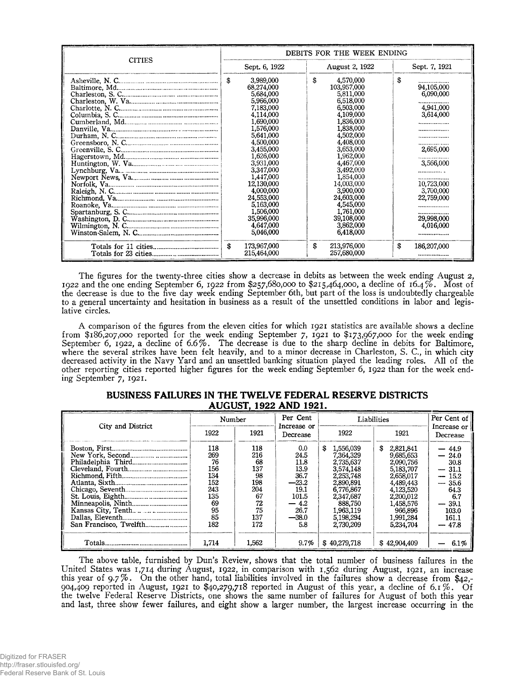|               | DEBITS FOR THE WEEK ENDING                                                                                                                                                                                                                                                                                        |                                                                                                                                                                                                                                                                                                                   |                                                                                                                                                                         |  |  |  |
|---------------|-------------------------------------------------------------------------------------------------------------------------------------------------------------------------------------------------------------------------------------------------------------------------------------------------------------------|-------------------------------------------------------------------------------------------------------------------------------------------------------------------------------------------------------------------------------------------------------------------------------------------------------------------|-------------------------------------------------------------------------------------------------------------------------------------------------------------------------|--|--|--|
| <b>CITIES</b> | Sept. 6, 1922                                                                                                                                                                                                                                                                                                     | August 2, 1922                                                                                                                                                                                                                                                                                                    | Sept. 7, 1921                                                                                                                                                           |  |  |  |
|               | 3,989,000<br>\$<br>68,274,000<br>5,684,000<br>5,966,000<br>7,183,000<br>4,114,000<br>1,690,000<br>1,576,000<br>5,641,000<br>4,500,000<br>3,455,000<br>1,626,000<br>3,931,000<br>3,347,000<br>1,447,000<br>12,130,000<br>4,000,000<br>24,553,000<br>5,163,000<br>1,506,000<br>35,996,000<br>4,647,000<br>5,046,000 | £<br>4,570,000<br>103,957,000<br>5,811,000<br>6,518,000<br>6,503,000<br>4,109,000<br>1,836,000<br>1,838,000<br>4,502,000<br>4,408,000<br>3,653,000<br>1,962,000<br>4,467,000<br>3,492,000<br>1,854,000<br>14,003,000<br>3,900,000<br>24,603,000<br>4,545,000<br>1,761,000<br>39,108,000<br>3,862,000<br>6,418,000 | \$<br>94,105,000<br>6,090,000<br>4,941,000<br>3,614,000<br><br>2,695,000<br>3,566,000<br>.<br><br>10,723,000<br>3,700,000<br>22,759,000<br>.<br>29,998,000<br>4,016,000 |  |  |  |
|               | \$<br>173,967,000<br>215,464,000                                                                                                                                                                                                                                                                                  | S<br>213,976,000<br>257,680,000                                                                                                                                                                                                                                                                                   | S<br>186,207,000                                                                                                                                                        |  |  |  |

The figures for the twenty-three cities show a decrease in debits as between the week ending August 2, 1922 and the one ending September 6, 1922 from \$257,680,000 to \$215,464,000, a decline of 16.4%. Most of the decrease is due to the five day week ending September 6th, but part of the loss is undoubtedly chargeable to a general uncertainty and hesitation in business as a result of the unsettled conditions in labor and legislative circles.

A comparison of the figures from the eleven cities for which 1921 statistics are available shows a decline from \$186,207,000 reported for the week ending September 7, 1921 to \$173,967,000 for the week ending September 6, 1922, a decline of 6.6%. The decrease is due to the sharp decline in debits for Baltimore, where the several strikes have been felt heavily, and to a minor decrease in Charleston, S. C., in which city decreased activity in the Navy Yard and an unsettled banking situation played the leading roles. All of the other reporting cities reported higher figures for the week ending September 6, 1922 than for the week ending September 7, 1921.

| City and District | Number                                                                       |                                                                             | Per Cent                                                                                         | Liabilities                                                                                                                                            | Per Cent of                                                                                                                                            |                                                                                                                                                                                                 |  |
|-------------------|------------------------------------------------------------------------------|-----------------------------------------------------------------------------|--------------------------------------------------------------------------------------------------|--------------------------------------------------------------------------------------------------------------------------------------------------------|--------------------------------------------------------------------------------------------------------------------------------------------------------|-------------------------------------------------------------------------------------------------------------------------------------------------------------------------------------------------|--|
|                   | 1922                                                                         | 1921                                                                        | Increase or<br>Decrease                                                                          | 1922                                                                                                                                                   | 1921                                                                                                                                                   | Increase or<br>Decrease                                                                                                                                                                         |  |
|                   | 118<br>269<br>76<br>156<br>134<br>152<br>243<br>135<br>69<br>95<br>85<br>182 | 118<br>216<br>68<br>137<br>98<br>198<br>204<br>67<br>72<br>75<br>137<br>172 | 0.0<br>24.5<br>11.8<br>13.9<br>36.7<br>$-23.2$<br>19.1<br>101.5<br>4.2<br>26.7<br>$-38.0$<br>5.8 | 1,556,039<br>7.364.329<br>2,735,637<br>3,574,148<br>2,253,748<br>2,890,891<br>6,776,867<br>2,347,687<br>888.750<br>1.963.119<br>5.198.294<br>2,730,209 | 2,821,841<br>9,685,653<br>2,090.756<br>5,183,707<br>2,658,017<br>4,489,443<br>4,123,520<br>2,200,012<br>1,458,576<br>966,896<br>1,991,284<br>5,234,704 | $-44.9$<br>24.0<br>30.8<br>-31.1<br>$\overline{\phantom{a}}$<br>15.2<br>$-$<br>35.6<br>$\overline{\phantom{a}}$<br>64.3<br>6.7<br>39.1<br>$\overline{\phantom{a}}$<br>103.0<br>161.1<br>$-47.8$ |  |
| Totals.           | 1.714                                                                        | 1.562                                                                       | 9.7%                                                                                             | \$40.279.718                                                                                                                                           | \$42,904,409                                                                                                                                           | 6.1%                                                                                                                                                                                            |  |

#### **BUSINESS FAILURES IN THE TWELVE FEDERAL RESERVE DISTRICTS AUGUST, 1922 AND 1921.**

The above table, furnished by Dun's Review, shows that the total number of business failures in the United States was 1,714 during August, 1922, in comparison with 1,562 during August, 1921, an increase this year of 9.7% . On the other hand, total liabilities involved in the failures show a decrease from \$42,- 904,409 reported in August, 1921 to \$40,279,718 reported in August of this year, a decline of 6.1%. Of the twelve Federal Reserve Districts, one shows the same number of failures for August of both this year and last, three show fewer failures, and eight show a larger number, the largest increase occurring in the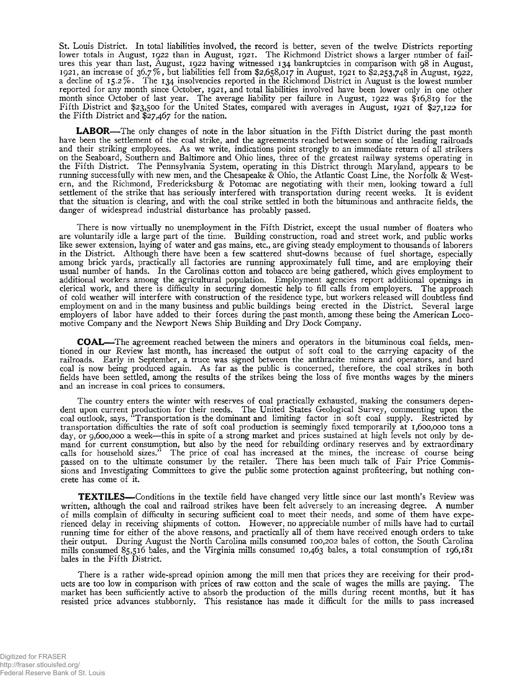St. Louis District. In total liabilities involved, the record is better, seven of the twelve Districts reporting lower totals in August, 1922 than in August, 1921. The Richmond District shows a larger number of failures this year than last, August, 1922 having witnessed 134 bankruptcies in comparison with 98 in August, 1921, an increase of 36.7% , but liabilities fell from \$2,658,017 in August, 1921 to \$2,253,748 in August, 1922, a decline of 15.2% . The 134 insolvencies reported in the Richmond District in August is the lowest number reported for any month since October, 1921, and total liabilities involved have been lower only in one other month since October of last year. The average liability per failure in August, 1922 was \$16,819 for the Fifth District and \$23,500 for the United States, compared with averages in August, 1921 of \$27,122 for the Fifth District and \$27,467 for the nation.

**LABOR**— The only changes of note in the labor situation in the Fifth District during the past month have been the settlement of the coal strike, and the agreements reached between some of the leading railroads and their striking employees. As we write, indications point strongly to an immediate return of all strikers on the Seaboard, Southern and Baltimore and Ohio lines, three of the greatest railway systems operating in the Fifth District. The Pennsylvania System, operating in this District through Maryland, appears to be running successfully with new men, and the Chesapeake & Ohio, the Atlantic Coast Line, the Norfolk & Western, and the Richmond, Fredericksburg & Potomac are negotiating with their men, looking toward a full settlement of the strike that has seriously interfered with transportation during recent weeks. It is evident that the situation is clearing, and with the coal strike settled in both the bituminous and anthracite fields, the danger of widespread industrial disturbance has probably passed.

There is now virtually no unemployment in the Fifth District, except the usual number of floaters who are voluntarily idle a large part of the time. Building construction, road and street work, and public works like sewer extension, laying of water and gas mains, etc., are giving steady employment to thousands of laborers in the District. Although there have been a few scattered shut-downs because of fuel shortage, especially among brick yards, practically all factories are running approximately full time, and are employing their usual number of hands. In the Carolinas cotton and tobacco are being gathered, which gives employment to additional workers among the agricultural population. Employment agencies report additional openings in clerical work, and there is difficulty in securing domestic help to fill calls from employers. The approach of cold weather will interfere with construction of the residence type, but workers released will doubtless find employment on and in the many business and public buildings being erected in the District. Several large employers of labor have added to their forces during the past month, among these being the American Locomotive Company and the Newport News Ship Building and Dry Dock Company.

**COAL**— The agreement reached between the miners and operators in the bituminous coal fields, mentioned in our Review last month, has increased the output of soft coal to the carrying capacity of the railroads. Early in September, a truce was signed between the anthracite miners and operators, and hard coal is now being produced again. As far as the public is concerned, therefore, the coal strikes in both fields have been settled, among the results of the strikes being the loss of five months wages by the miners and an increase in coal prices to consumers.

The country enters the winter with reserves of coal practically exhausted, making the consumers dependent upon current production for their needs. The United States Geological Survey, commenting upon the coal outlook, says, " Transportation is the dominant and limiting factor in soft coal supply. Restricted by transportation difficulties the rate of soft coal production is seemingly fixed temporarily at 1,600,000 tons a day, or 9,600,000 a week—this in spite of a strong market and prices sustained at high levels not only by demand for current consumption, but also by the need for rebuilding ordinary reserves and by extraordinary calls for household sizes." The price of coal has increased at the mines, the increase of course being passed on to the ultimate consumer by the retailer. There has been much talk of Fair Price Commissions and Investigating Committees to give the public some protection against profiteering, but nothing concrete has come of it.

**TEXTILES**— Conditions in the textile field have changed very little since our last month's Review was written, although the coal and railroad strikes have been felt adversely to an increasing degree. A number of mills complain of difficulty in securing sufficient coal to meet their needs, and some of them have experienced delay in receiving shipments of cotton. However, no appreciable number of mills have had to curtail running time for either of the above reasons, and practically all of them have received enough orders to take their output. During August the North Carolina mills consumed 100,202 bales of cotton, the South Carolina mills consumed 85,516 bales, and the Virginia mills consumed 10,463 bales, a total consumption of 196,181 bales in the Fifth District.

There is a rather wide-spread opinion among the mill men that prices they are receiving for their products are too low in comparison with prices of raw cotton and the scale of wages the mills are paying. The market has been sufficiently active to absorb the production of the mills during recent months, but it has resisted price advances stubbornly. This resistance has made it difficult for the mills to pass increased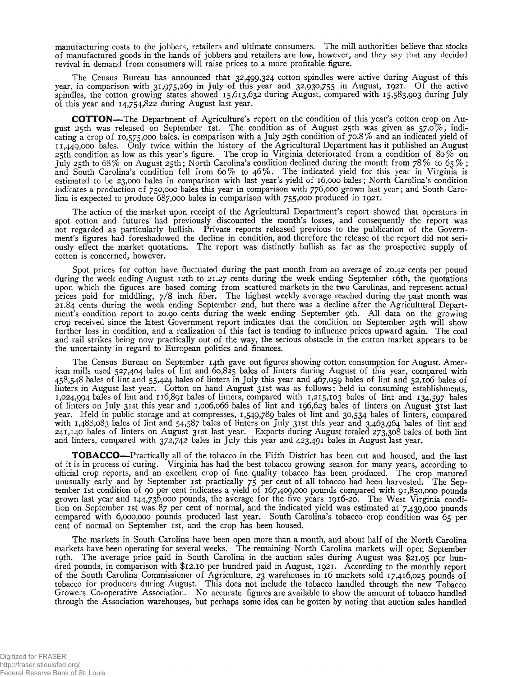manufacturing costs to the jobbers, retailers and ultimate consumers. The mill authorities believe that stocks of manufactured goods in the hands of jobbers and retailers are low, however, and they say that any decided revival in demand from consumers will raise prices to a more profitable figure.

The Census Bureau has announced that 32,499,324 cotton spindles were active during August of this year, in comparison with 31,975,269 in July of this year and 32,930,755 in August, 1921. Of the active spindles, the cotton growing states showed 15,613,632 during August, compared with 15,583,903 during July of this year and 14,754,822 during August last year.

**COTTON**— The Department of Agriculture's report on the condition of this year's cotton crop on August 25th was released on September 1st. The condition as of August 25th was given as  $57.0\%$ , indicating a crop of 10,575,000 bales, in comparison with a July 25th condition of 70.8% and an indicated yield of 11,449,000 bales. Only twice within the history of the Agricultural Department has it published an August 25th condition as low as this year's figure. The crop in Virginia deteriorated from a condition of 80% on July 25th to 68% on August 25th; North Carolina's condition declined during the month from 78% to 65%; and South Carolina's condition fell from 60% to 46%. The indicated yield for this year in Virginia is estimated to be 23,000 bales in comparison with last year's yield of 16,000 bales; North Carolina's condition indicates a production of 750,000 bales this year in comparison with 776,000 grown last year; and South Carolina is expected to produce 687,000 bales in comparison with 755,000 produced in 1921.

The action of the market upon receipt of the Agricultural Department's report showed that operators in spot cotton and futures had previously discounted the month's losses, and consequently the report was not regarded as particularly bullish. Private reports released previous to the publication of the Government's figures had foreshadowed the decline in condition, and therefore the release of the report did not seriously effect the market quotations. The report was distinctly bullish as far as the prospective supply of cotton is concerned, however.

Spot prices for cotton have fluctuated during the past month from an average of 20.42 cents per pound during the week ending August 12th to 21.27 cents during the week ending September 16th, the quotations upon which the figures are based coming from scattered markets in the two Carolinas, and represent actual prices paid for middling, 7/8 inch fiber. The highest weekly average reached during the past month was 21.84 cents during the week ending September 2nd, but there was a decline after the Agricultural Department's condition report to 20.90 cents during the week ending September 9th. All data on the growing crop received since the latest Government report indicates that the condition on September 25th will show further loss in condition, and a realization of this fact is tending to influence prices upward again. The coal and rail strikes being now practically out of the way, the serious obstacle in the cotton market appears to be the uncertainty in regard to European politics and finances.

The Census Bureau on September 14th gave out figures showing cotton consumption for August. American mills used 527,404 bales of lint and 60,825 bales of linters during August of this year, compared with 458,548 bales of lint and 55,424 bales of linters in July this year and 467,059 bales of lint and 52,106 bales of linters in August last year. Cotton on hand August 31st was as follows: held in consuming establishments, 1,024,994 bales of lint and 116,891 bales of linters, compared with 1,215,103 bales of lint and 134,597 bales of linters on July 31st this year and 1,006,066 bales of lint and 196,623 bales of linters on August 31st last year. Held in public storage and at compresses, 1,549,789 bales of lint and 30,534 bales of linters, compared with 1,488,083 bales of lint and 54,587 bales of linters on July 31st this year and 3,463,964 bales of lint and 241,140 bales of linters 011 August 31st last year. Exports during August totaled 273,308 bales of both lint and linters, compared with 372,742 bales in July this year and 423,491 bales in August last year.

**TOBACCO**— Practically all of the tobacco in the Fifth District has been cut and housed, and the last of it is in process of curing. Virginia has had the best tobacco growing season for many years, according to official crop reports, and an excellent crop of fine quality tobacco has been produced. The crop matured unusually early and by September 1st practically 75 per cent of all tobacco had been harvested. The September 1st condition of 90 per cent indicates a yield of 167,409,000 pounds compared with 91,850,000 pounds grown last year and 144,736,000 pounds, the average for the five years 1916-20. The West Virginia condition on September 1st was 87 per cent of normal, and the indicated yield was estimated at 7,439,000 pounds compared with 6,000,000 pounds produced last year. South Carolina's tobacco crop condition was 65 per cent of normal on September 1st, and the crop has been housed.

The markets in South Carolina have been open more than a month, and about half of the North Carolina markets have been operating for several weeks. The remaining North Carolina markets will open September 19th. The average price paid in South Carolina in the auction sales during August was \$21.05 per hundred pounds, in comparison with \$12.10 per hundred paid in August, 1921. According to the monthly report of the South Carolina Commissioner of Agriculture, 23 warehouses in 16 markets sold 17,416,025 pounds of tobacco for producers during August. This does not include the tobacco handled through the new Tobacco Growers Co-operative Association. No accurate figures are available to show the amount of tobacco handled through the Association warehouses, but perhaps some idea can be gotten by noting that auction sales handled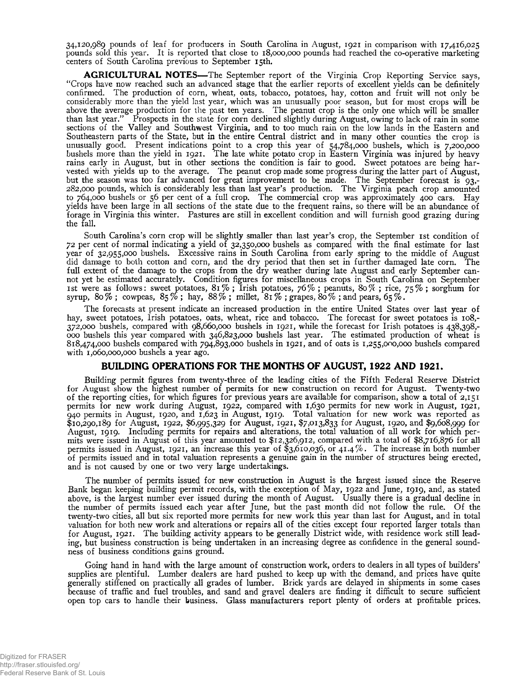34,120,989 pounds of leaf for producers in South Carolina in August, 1921 in comparison with 17,416,025 pounds sold this year. It is reported that close to 18,000,000 pounds had reached the co-operative marketing centers of South Carolina previous to September 15th.

**AGRICULTURAL NOTES—** The September report of the Virginia Crop Reporting Service says, " Crops have now reached such an advanced stage that the earlier reports of excellent yields can be definitely confirmed. The production of corn, wheat, oats, tobacco, potatoes, hay, cotton and fruit will not only be considerably more than the yield last year, which was an unusually poor season, but for most crops will be above the average production for the past ten years. The peanut crop is the only one which will be smaller than last year." Prospects in the state for corn declined slightly during August, owing to lack of rain in some sections of the Valley and Southwest Virginia, and to too much rain on the low lands in the Eastern and Southeastern parts of the State, but in the entire Central district and in many other counties the crop is unusually good. Present indications point to a crop this year of 54,784,000 bushels, which is 7,200,000 bushels more than the yield in 1921. The late white potato crop in Eastern Virginia was injured by heavy rains early in August, but in other sections the condition is fair to good. Sweet potatoes are being harvested with yields up to the average. The peanut crop made some progress during the latter part of August, but the season was too far advanced for great improvement to be made. The September forecast is 93,- 282.000 pounds, which is considerably less than last year's production. The Virginia peach crop amounted to 764,000 bushels or 56 per cent of a full crop. The commercial crop was approximately 400 cars. Hay yields have been large in all sections of the state due to the frequent rains, so there will be an abundance of forage in Virginia this winter. Pastures are still in excellent condition and will furnish good grazing during the fall.

South Carolina's corn crop will be slightly smaller than last year's crop, the September 1st condition of 72 per cent of normal indicating a yield of 32,350,000 bushels as compared with the final estimate for last year of 32,955,000 bushels. Excessive rains in South Carolina from early spring to the middle of August did damage to both cotton and corn, and the dry period that then set in further damaged late corn. The full extent of the damage to the crops from the dry weather during late August and early September cannot yet be estimated accurately. Condition figures for miscellaneous crops in South Carolina on September 1st were as follows: sweet potatoes, 81%; Irish potatoes, 76%; peanuts, 80%; rice, 75%; sorghum for syrup, 80% ; cowpeas, 85% ; hay, 88% ; millet, 81% ; grapes, 80% ;and pears, 65% .

The forecasts at present indicate an increased production in the entire United States over last year of hay, sweet potatoes, Irish potatoes, oats, wheat, rice and tobacco. The forecast for sweet potatoes is 108,-372.000 bushels, compared with 98,660,000 bushels in 1921, while the forecast for Irish potatoes is 438,398,- 000 bushels this year compared with 346,823,000 bushels last year. The estimated production of wheat is 818.474.000 bushels compared with 794,893,000 bushels in 1921, and of oats is 1,255,000,000 bushels compared with 1,060,000,000 bushels a year ago.

### **BUILDING OPERATIONS FOR THE MONTHS OF AUGUST, 1922 AND 1921.**

Building permit figures from twenty-three of the leading cities of the Fifth Federal Reserve District for August show the highest number of permits for new construction on record for August. Twenty-two of the reporting cities, for which figures for previous years are available for comparison, show a total of 2,151 permits for new work during August, 1922, compared with 1,630 permits for new work in August, 1921, 940 permits in August, 1920, and 1,623 in August, 1919. Total valuation for new work was reported as \$10,290,189 for August, 1922, \$6,995,329 for August, 1921, \$7,013,833 for August, 1920, and \$9,608,999 for August, 1919. Including permits for repairs and alterations, the total valuation of all work for which permits were issued in August of this year amounted to \$12,326,912, compared with a total of \$8,716,876 for all permits issued in August, 1921, an increase this year of \$3,610,036, or 4 1.4% . The increase in both number of permits issued and in total valuation represents a genuine gain in the number of structures being erected, and is not caused by one or two very large undertakings.

The number of permits issued for new construction in August is the largest issued since the Reserve Bank began keeping building permit records, with the exception of May, 1922 and June, 1919, and, as stated above, is the largest number ever issued during the month of August. Usually there is a gradual decline in the number of permits issued each year after June, but the past month did not follow the rule. Of the twenty-two cities, all but six reported more permits for new work this year than last for August, and in total valuation for both new work and alterations or repairs all of the cities except four reported larger totals than for August, 1921. The building activity appears to be generally District wide, with residence work still leading, but business construction is being undertaken in an increasing degree as confidence in the general soundness of business conditions gains ground.

Going hand in hand with the large amount of construction work, orders to dealers in all types of builders' supplies are plentiful. Lumber dealers are hard pushed to keep up with the demand, and prices have quite generally stiffened on practically all grades of lumber. Brick yards are delayed in shipments in some cases because of traffic and fuel troubles, and sand and gravel dealers are finding it difficult to secure sufficient open top cars to handle their business. Glass manufacturers report plenty of orders at profitable prices.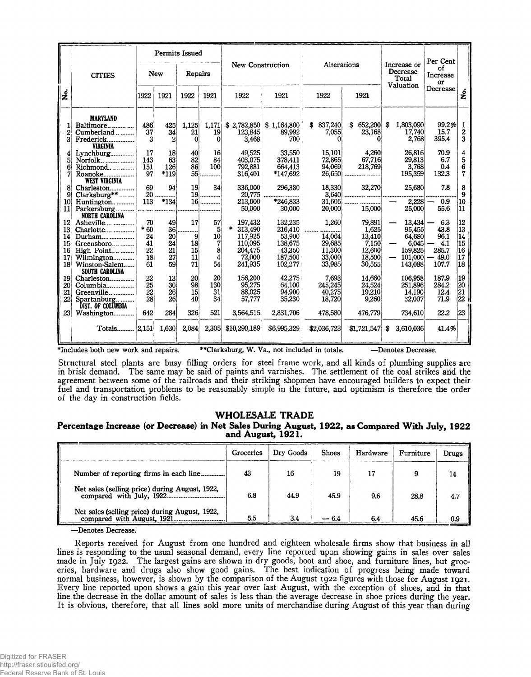|                                                                                                             | Permits Issued           |                 |                 |                 |                 |              |                                        |             |               | Per Cent                                      |           |                      |                  |
|-------------------------------------------------------------------------------------------------------------|--------------------------|-----------------|-----------------|-----------------|-----------------|--------------|----------------------------------------|-------------|---------------|-----------------------------------------------|-----------|----------------------|------------------|
|                                                                                                             | <b>CITIES</b>            |                 | <b>New</b>      | Repairs         |                 |              | <b>New Construction</b><br>Alterations |             |               | Increase or<br>Decrease<br>Total<br>Valuation |           | of<br>Increase<br>or |                  |
| غا                                                                                                          |                          | 1922            | 1921            | 1922            | 1921            | 1922         | 1921                                   | 1922        | 1921          |                                               |           | Decrease             | ż                |
|                                                                                                             | <b>MARYLAND</b>          |                 |                 |                 |                 |              |                                        |             |               |                                               |           |                      |                  |
|                                                                                                             | Baltimore                | 486             | 425             | 1,125           | 1,171           | \$2,782,850  | \$1,164,800                            | \$ 837,240  | 652,200<br>\$ | \$                                            | 1,803,090 | 99.2%                | 1                |
| 2                                                                                                           | Cumberland               | 37              | 34              | 21              | 19              | 123,845      | 89,992                                 | 7,055       | 23,168        |                                               | 17,740    | 15.7                 | $\boldsymbol{2}$ |
| 3                                                                                                           | Frederick                | 3               | 2               | $\Omega$        | $\Omega$        | 3,468        | 700                                    | $\Omega$    |               |                                               | 2,768     | 395.4                | 3                |
|                                                                                                             | <b>VIRGINIA</b>          |                 |                 |                 |                 |              |                                        |             |               |                                               |           |                      |                  |
|                                                                                                             | Lynchburg                | 17              | 18              | 40              | 16 <sup>l</sup> | 49,525       | 33,550                                 | 15,101      | 4,260         |                                               | 26,816    | 70.9                 | 4                |
| 5                                                                                                           | Norfolk                  | 143             | 63              | $\overline{82}$ | 84              | 403,075      | 378,411                                | 72,865      | 67,716        |                                               | 29,813    | 6.7                  | 5                |
| 6                                                                                                           | Richmond                 | 151             | 126             | 86              | <b>100</b>      | 792,881      | 664,413                                | 94,069      | 218,769       |                                               | 3,768     | 0.4                  | 6                |
| 7                                                                                                           | Roanoke                  | 97              | $*119$          | 55              |                 | 316,401      | *147,692                               |             |               |                                               | 195,359   | 132.3                | 7                |
|                                                                                                             | WEST VIRGINIA            |                 |                 |                 |                 |              |                                        |             |               |                                               |           |                      |                  |
| 8                                                                                                           | Charleston               | 69              | 94              | 19 <sup>°</sup> | 34 <sup>1</sup> | 336,000      | 296,380                                | 18,330      | 32,270        |                                               | 25,680    | 7.8                  | 8                |
| 9                                                                                                           | Clarksburg**             | 20 <sub>l</sub> |                 |                 | $19$            | 20,775       |                                        |             |               |                                               |           |                      | 9                |
| 10                                                                                                          | Huntington               | 113             | *134            | $16$            |                 | 213,000      | *246,833                               | 31,605      |               |                                               | 2,228     | 0.9                  | 10               |
| 11                                                                                                          | Parkersburg              |                 |                 |                 |                 | 50,000       | 30,000                                 | 20,000      | 15,000        |                                               | 25,000    | 55.6                 | 11               |
|                                                                                                             | <b>NORTH CAROLINA</b>    |                 |                 |                 |                 |              |                                        |             |               |                                               |           |                      |                  |
| 12                                                                                                          | Asheville                | 70              | 49              | 17              | 57              | 197,432      | 132,235                                | 1,260       | 79,891        |                                               | 13,434    | 6.3                  | 12               |
| 13                                                                                                          | Charlotte                | $*60$           | 36 <sup>′</sup> |                 | 5 <sup>1</sup>  | *<br>313,490 | 216,410                                |             | 1,625         |                                               | 95,455    | 43.8                 | $\overline{13}$  |
| 14                                                                                                          | Durham                   | 24              | 20              | 9               | 10 <sup>1</sup> | 117,925      | 53,900                                 | 14,064      | 13,410        |                                               | 64,680    | 96.1                 | 14               |
| 15                                                                                                          | Greensboro               | 41              | 24              | 18              | 7               | 110,095      | 138,675                                | 29,685      | 7,150         |                                               | 6,045     | 4.1                  | 15               |
| 16 <sup>2</sup>                                                                                             |                          | 22              | 21              | 15              | 8               | 204,475      | 43,350                                 | 11,300      | 12,600        |                                               | 159,825   | 285.7                | 16               |
| 17                                                                                                          | Wilmington               | 18              | 27              | 11              | 4               | 72,000       | 187,500                                | 33,000      | 18,500        |                                               | 101,000   | $-49.0$              | 17               |
| 18                                                                                                          | Winston-Salem            | 61              | 59              | 71              | 54              | 241,935      | 102,277                                | 33,985      | 30,555        |                                               | 143,088   | 107.7                | 18               |
|                                                                                                             | SOUTH CAROLINA           |                 |                 |                 |                 |              |                                        |             |               |                                               |           |                      |                  |
| 19                                                                                                          | Charleston               | 22              | 13              | 20 <sub>l</sub> | 20 <sup>1</sup> | 156,200      | 42.275                                 | 7,693       | 14,660        |                                               | 106,958   | 187.9                | 19               |
| 20                                                                                                          | Columbia                 | 25              | 30 <sup>°</sup> | 98              | 130             | 95,275       | 64,100                                 | 245,245     | 24,524        |                                               | 251.896   | 284.2                | $\frac{20}{21}$  |
| 21                                                                                                          | Greenville               | $22^{\prime}$   | 26              | 15 <sup>1</sup> | 31              | 88,025       | 94,900                                 | 40,275      | 19,210        |                                               | 14,190    | 12.4                 |                  |
| 22                                                                                                          | Spartanburg              | 28              | 26              | 40 <sup>1</sup> | 34              | 57,777       | 35,230                                 | 18,720      | 9,260         |                                               | 32,007    | 71.9                 | 22               |
|                                                                                                             | <b>DIST. OF COLUMBIA</b> |                 |                 |                 |                 |              |                                        |             |               |                                               |           |                      |                  |
| 23                                                                                                          | Washington               | 642             | 284             | 326             | 521             | 3,564,515    | 2,831,706                              | 478,580     | 476,779       |                                               | 734,610   | 22.2                 | 123              |
|                                                                                                             | Totals 2,151             |                 | 1,630           | 2,084           | 2,305           | \$10,290,189 | \$6,995,329                            | \$2,036,723 | \$1,721,547   | $\mathbf{\$}$                                 | 3,610,036 | 41.4%                |                  |
| *Includes both new work and repairs.<br>**Clarksburg, W. Va., not included in totals.<br>-Denotes Decrease. |                          |                 |                 |                 |                 |              |                                        |             |               |                                               |           |                      |                  |

Structural steel plants are busy filling orders for steel frame work, and all kinds of plumbing supplies are in brisk demand. The same may be said of paints and varnishes. The settlement of the coal strikes and the agreement between some of the railroads and their striking shopmen have encouraged builders to expect their fuel and transportation problems to be reasonably simple in the future, and optimism is therefore the order of the day in construction fields.

# **WHOLESALE TRADE**

### **Percentage Increase (or Decrease) in Net Sales During August, 1922, as Compared With July, 1922 and August, 1921.**

|                                        | Groceries | Dry Goods | <b>Shoes</b> | Hardware | Furniture | Drugs |
|----------------------------------------|-----------|-----------|--------------|----------|-----------|-------|
| Number of reporting firms in each line | 43        | 16        | 19           |          |           | 14    |
|                                        | 6.8       | 44.9      | 45.9         | 9.6      | 28.8      | 4.7   |
|                                        | 5.5       | 3.4       | - 64         | 6.4      | 45.6      | 0.9   |

—Denotes Decrease.

Reports received for August from one hundred and eighteen wholesale firms show that business in all lines is responding to the usual seasonal demand, every line reported upon showing gains in sales over sales made in July 1922. The largest gains are shown in dry goods, boot and shoe, and furniture lines, but groceries, hardware and drugs also show good gains. The best indication of progress being made toward normal business, however, is shown by the comparison of the August 1922 figures with those for August 1921. Every line reported upon shows a gain this year over last August, with the exception of shoes, and in that line the decrease in the dollar amount of sales is less than the average decrease in shoe prices during the year. It is obvious, therefore, that all lines sold more units of merchandise during August of this year than during